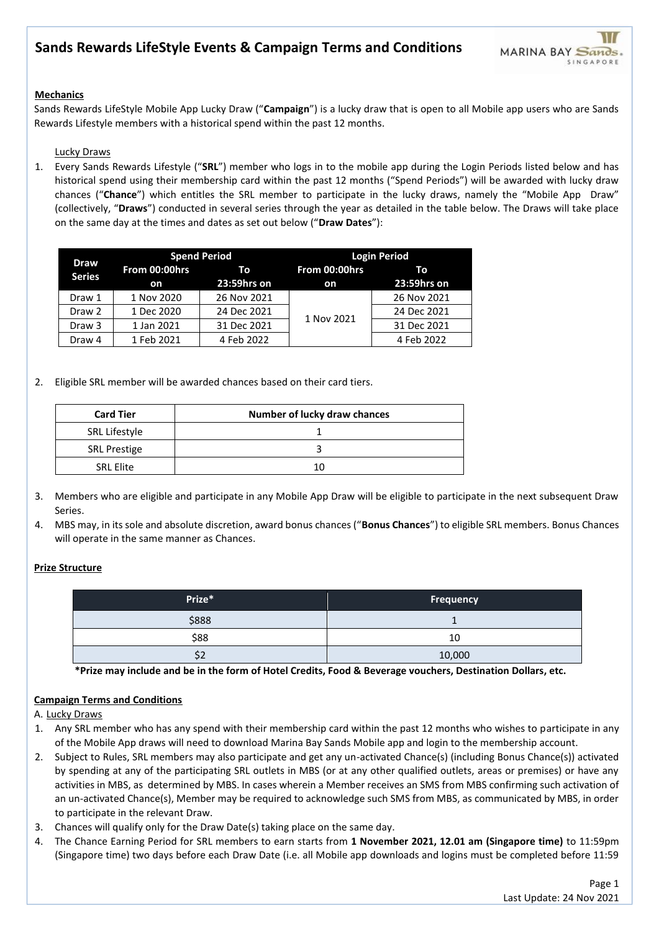## **Mechanics**

Sands Rewards LifeStyle Mobile App Lucky Draw ("**Campaign**") is a lucky draw that is open to all Mobile app users who are Sands Rewards Lifestyle members with a historical spend within the past 12 months.

### Lucky Draws

1. Every Sands Rewards Lifestyle ("**SRL**") member who logs in to the mobile app during the Login Periods listed below and has historical spend using their membership card within the past 12 months ("Spend Periods") will be awarded with lucky draw chances ("**Chance**") which entitles the SRL member to participate in the lucky draws, namely the "Mobile App Draw" (collectively, "**Draws**") conducted in several series through the year as detailed in the table below. The Draws will take place on the same day at the times and dates as set out below ("**Draw Dates**"):

| <b>Draw</b><br><b>Series</b> | <b>Spend Period</b> |             | <b>Login Period</b>                                                   |             |
|------------------------------|---------------------|-------------|-----------------------------------------------------------------------|-------------|
|                              | From 00:00hrs       | - To        | From 00:00hrs                                                         | To          |
|                              | on                  | 23:59hrs on | on                                                                    | 23:59hrs on |
| Draw 1                       | 1 Nov 2020          | 26 Nov 2021 | 26 Nov 2021<br>24 Dec 2021<br>1 Nov 2021<br>31 Dec 2021<br>4 Feb 2022 |             |
| Draw 2                       | 1 Dec 2020          | 24 Dec 2021 |                                                                       |             |
| Draw 3                       | 1 Jan 2021          | 31 Dec 2021 |                                                                       |             |
| Draw 4                       | 1 Feb 2021          | 4 Feb 2022  |                                                                       |             |

2. Eligible SRL member will be awarded chances based on their card tiers.

| <b>Card Tier</b>    | Number of lucky draw chances |
|---------------------|------------------------------|
| SRL Lifestyle       |                              |
| <b>SRL Prestige</b> |                              |
| <b>SRL Elite</b>    | 10                           |

- 3. Members who are eligible and participate in any Mobile App Draw will be eligible to participate in the next subsequent Draw Series.
- 4. MBS may, in its sole and absolute discretion, award bonus chances ("**Bonus Chances**") to eligible SRL members. Bonus Chances will operate in the same manner as Chances.

### **Prize Structure**

| Prize* | <b>Frequency</b> |
|--------|------------------|
| \$888  |                  |
| \$88   | 10               |
| \$2    | 10,000           |

**\*Prize may include and be in the form of Hotel Credits, Food & Beverage vouchers, Destination Dollars, etc.**

## **Campaign Terms and Conditions**

A. Lucky Draws

- 1. Any SRL member who has any spend with their membership card within the past 12 months who wishes to participate in any of the Mobile App draws will need to download Marina Bay Sands Mobile app and login to the membership account.
- 2. Subject to Rules, SRL members may also participate and get any un-activated Chance(s) (including Bonus Chance(s)) activated by spending at any of the participating SRL outlets in MBS (or at any other qualified outlets, areas or premises) or have any activities in MBS, as determined by MBS. In cases wherein a Member receives an SMS from MBS confirming such activation of an un-activated Chance(s), Member may be required to acknowledge such SMS from MBS, as communicated by MBS, in order to participate in the relevant Draw.
- 3. Chances will qualify only for the Draw Date(s) taking place on the same day.
- 4. The Chance Earning Period for SRL members to earn starts from **1 November 2021, 12.01 am (Singapore time)** to 11:59pm (Singapore time) two days before each Draw Date (i.e. all Mobile app downloads and logins must be completed before 11:59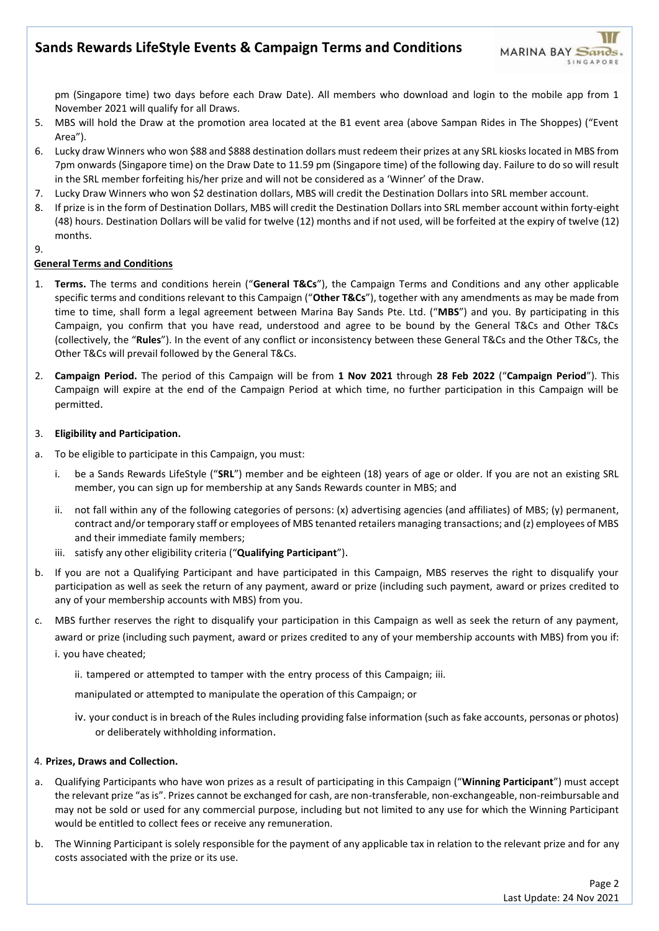pm (Singapore time) two days before each Draw Date). All members who download and login to the mobile app from 1 November 2021 will qualify for all Draws.

- 5. MBS will hold the Draw at the promotion area located at the B1 event area (above Sampan Rides in The Shoppes) ("Event Area").
- 6. Lucky draw Winners who won \$88 and \$888 destination dollars must redeem their prizes at any SRL kiosks located in MBS from 7pm onwards (Singapore time) on the Draw Date to 11.59 pm (Singapore time) of the following day. Failure to do so will result in the SRL member forfeiting his/her prize and will not be considered as a 'Winner' of the Draw.
- 7. Lucky Draw Winners who won \$2 destination dollars, MBS will credit the Destination Dollars into SRL member account.
- 8. If prize is in the form of Destination Dollars, MBS will credit the Destination Dollars into SRL member account within forty-eight (48) hours. Destination Dollars will be valid for twelve (12) months and if not used, will be forfeited at the expiry of twelve (12) months.

### 9.

### **General Terms and Conditions**

- 1. **Terms.** The terms and conditions herein ("**General T&Cs**"), the Campaign Terms and Conditions and any other applicable specific terms and conditions relevant to this Campaign ("**Other T&Cs**"), together with any amendments as may be made from time to time, shall form a legal agreement between Marina Bay Sands Pte. Ltd. ("**MBS**") and you. By participating in this Campaign, you confirm that you have read, understood and agree to be bound by the General T&Cs and Other T&Cs (collectively, the "**Rules**"). In the event of any conflict or inconsistency between these General T&Cs and the Other T&Cs, the Other T&Cs will prevail followed by the General T&Cs.
- 2. **Campaign Period.** The period of this Campaign will be from **1 Nov 2021** through **28 Feb 2022** ("**Campaign Period**"). This Campaign will expire at the end of the Campaign Period at which time, no further participation in this Campaign will be permitted.

### 3. **Eligibility and Participation.**

- a. To be eligible to participate in this Campaign, you must:
	- i. be a Sands Rewards LifeStyle ("**SRL**") member and be eighteen (18) years of age or older. If you are not an existing SRL member, you can sign up for membership at any Sands Rewards counter in MBS; and
	- ii. not fall within any of the following categories of persons: (x) advertising agencies (and affiliates) of MBS; (y) permanent, contract and/or temporary staff or employees of MBS tenanted retailers managing transactions; and (z) employees of MBS and their immediate family members;
	- iii. satisfy any other eligibility criteria ("**Qualifying Participant**").
- b. If you are not a Qualifying Participant and have participated in this Campaign, MBS reserves the right to disqualify your participation as well as seek the return of any payment, award or prize (including such payment, award or prizes credited to any of your membership accounts with MBS) from you.
- c. MBS further reserves the right to disqualify your participation in this Campaign as well as seek the return of any payment, award or prize (including such payment, award or prizes credited to any of your membership accounts with MBS) from you if: i. you have cheated;
	- ii. tampered or attempted to tamper with the entry process of this Campaign; iii.

manipulated or attempted to manipulate the operation of this Campaign; or

iv. your conduct is in breach of the Rules including providing false information (such as fake accounts, personas or photos) or deliberately withholding information.

### 4. **Prizes, Draws and Collection.**

- a. Qualifying Participants who have won prizes as a result of participating in this Campaign ("**Winning Participant**") must accept the relevant prize "as is". Prizes cannot be exchanged for cash, are non-transferable, non-exchangeable, non-reimbursable and may not be sold or used for any commercial purpose, including but not limited to any use for which the Winning Participant would be entitled to collect fees or receive any remuneration.
- b. The Winning Participant is solely responsible for the payment of any applicable tax in relation to the relevant prize and for any costs associated with the prize or its use.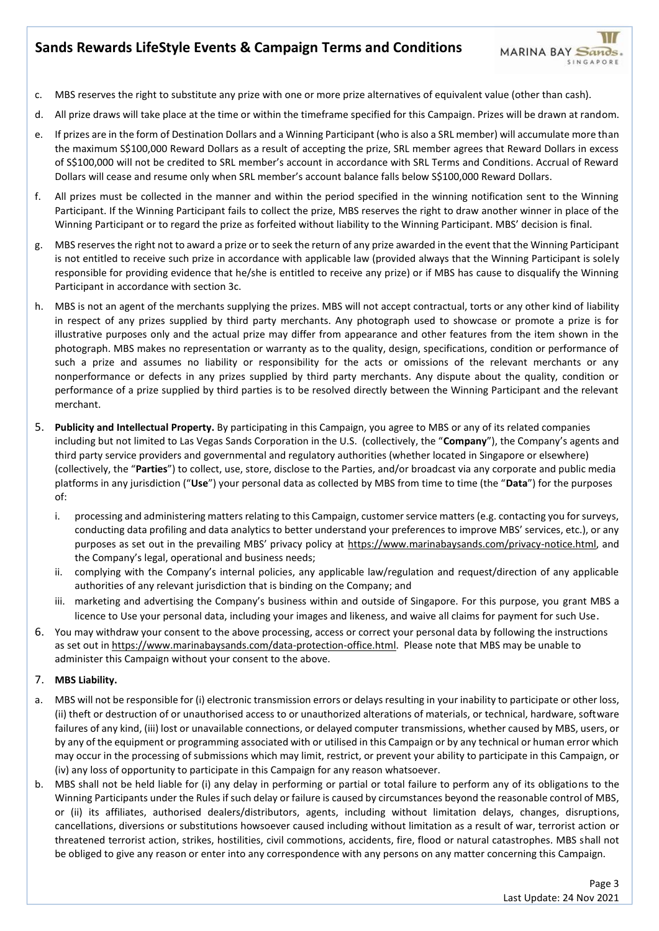- c. MBS reserves the right to substitute any prize with one or more prize alternatives of equivalent value (other than cash).
- d. All prize draws will take place at the time or within the timeframe specified for this Campaign. Prizes will be drawn at random.
- e. If prizes are in the form of Destination Dollars and a Winning Participant (who is also a SRL member) will accumulate more than the maximum S\$100,000 Reward Dollars as a result of accepting the prize, SRL member agrees that Reward Dollars in excess of S\$100,000 will not be credited to SRL member's account in accordance with SRL Terms and Conditions. Accrual of Reward Dollars will cease and resume only when SRL member's account balance falls below S\$100,000 Reward Dollars.
- f. All prizes must be collected in the manner and within the period specified in the winning notification sent to the Winning Participant. If the Winning Participant fails to collect the prize, MBS reserves the right to draw another winner in place of the Winning Participant or to regard the prize as forfeited without liability to the Winning Participant. MBS' decision is final.
- g. MBS reserves the right not to award a prize or to seek the return of any prize awarded in the event that the Winning Participant is not entitled to receive such prize in accordance with applicable law (provided always that the Winning Participant is solely responsible for providing evidence that he/she is entitled to receive any prize) or if MBS has cause to disqualify the Winning Participant in accordance with section 3c.
- h. MBS is not an agent of the merchants supplying the prizes. MBS will not accept contractual, torts or any other kind of liability in respect of any prizes supplied by third party merchants. Any photograph used to showcase or promote a prize is for illustrative purposes only and the actual prize may differ from appearance and other features from the item shown in the photograph. MBS makes no representation or warranty as to the quality, design, specifications, condition or performance of such a prize and assumes no liability or responsibility for the acts or omissions of the relevant merchants or any nonperformance or defects in any prizes supplied by third party merchants. Any dispute about the quality, condition or performance of a prize supplied by third parties is to be resolved directly between the Winning Participant and the relevant merchant.
- 5. **Publicity and Intellectual Property.** By participating in this Campaign, you agree to MBS or any of its related companies including but not limited to Las Vegas Sands Corporation in the U.S. (collectively, the "**Company**"), the Company's agents and third party service providers and governmental and regulatory authorities (whether located in Singapore or elsewhere) (collectively, the "**Parties**") to collect, use, store, disclose to the Parties, and/or broadcast via any corporate and public media platforms in any jurisdiction ("**Use**") your personal data as collected by MBS from time to time (the "**Data**") for the purposes of:
	- i. processing and administering matters relating to this Campaign, customer service matters (e.g. contacting you for surveys, conducting data profiling and data analytics to better understand your preferences to improve MBS' services, etc.), or any purposes as set out in the prevailing MBS' privacy policy at [https://www.marinabaysands.com/privacy-notice.html,](https://www.marinabaysands.com/privacy-notice.html) and the Company's legal, operational and business needs;
	- ii. complying with the Company's internal policies, any applicable law/regulation and request/direction of any applicable authorities of any relevant jurisdiction that is binding on the Company; and
	- iii. marketing and advertising the Company's business within and outside of Singapore. For this purpose, you grant MBS a licence to Use your personal data, including your images and likeness, and waive all claims for payment for such Use.
- 6. You may withdraw your consent to the above processing, access or correct your personal data by following the instructions as set out [in https://www.marinabaysands.com/data-protection-office.html.](https://www.marinabaysands.com/data-protection-office.html) Please note that MBS may be unable to administer this Campaign without your consent to the above.

## 7. **MBS Liability.**

- a. MBS will not be responsible for (i) electronic transmission errors or delays resulting in your inability to participate or other loss, (ii) theft or destruction of or unauthorised access to or unauthorized alterations of materials, or technical, hardware, software failures of any kind, (iii) lost or unavailable connections, or delayed computer transmissions, whether caused by MBS, users, or by any of the equipment or programming associated with or utilised in this Campaign or by any technical or human error which may occur in the processing of submissions which may limit, restrict, or prevent your ability to participate in this Campaign, or (iv) any loss of opportunity to participate in this Campaign for any reason whatsoever.
- b. MBS shall not be held liable for (i) any delay in performing or partial or total failure to perform any of its obligations to the Winning Participants under the Rules if such delay or failure is caused by circumstances beyond the reasonable control of MBS, or (ii) its affiliates, authorised dealers/distributors, agents, including without limitation delays, changes, disruptions, cancellations, diversions or substitutions howsoever caused including without limitation as a result of war, terrorist action or threatened terrorist action, strikes, hostilities, civil commotions, accidents, fire, flood or natural catastrophes. MBS shall not be obliged to give any reason or enter into any correspondence with any persons on any matter concerning this Campaign.